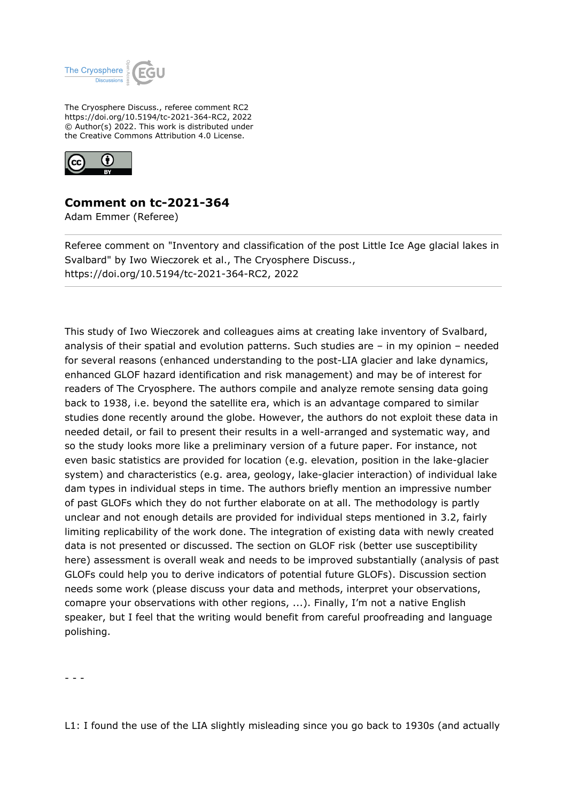

The Cryosphere Discuss., referee comment RC2 https://doi.org/10.5194/tc-2021-364-RC2, 2022 © Author(s) 2022. This work is distributed under the Creative Commons Attribution 4.0 License.



## **Comment on tc-2021-364**

Adam Emmer (Referee)

Referee comment on "Inventory and classification of the post Little Ice Age glacial lakes in Svalbard" by Iwo Wieczorek et al., The Cryosphere Discuss., https://doi.org/10.5194/tc-2021-364-RC2, 2022

This study of Iwo Wieczorek and colleagues aims at creating lake inventory of Svalbard, analysis of their spatial and evolution patterns. Such studies are – in my opinion – needed for several reasons (enhanced understanding to the post-LIA glacier and lake dynamics, enhanced GLOF hazard identification and risk management) and may be of interest for readers of The Cryosphere. The authors compile and analyze remote sensing data going back to 1938, i.e. beyond the satellite era, which is an advantage compared to similar studies done recently around the globe. However, the authors do not exploit these data in needed detail, or fail to present their results in a well-arranged and systematic way, and so the study looks more like a preliminary version of a future paper. For instance, not even basic statistics are provided for location (e.g. elevation, position in the lake-glacier system) and characteristics (e.g. area, geology, lake-glacier interaction) of individual lake dam types in individual steps in time. The authors briefly mention an impressive number of past GLOFs which they do not further elaborate on at all. The methodology is partly unclear and not enough details are provided for individual steps mentioned in 3.2, fairly limiting replicability of the work done. The integration of existing data with newly created data is not presented or discussed. The section on GLOF risk (better use susceptibility here) assessment is overall weak and needs to be improved substantially (analysis of past GLOFs could help you to derive indicators of potential future GLOFs). Discussion section needs some work (please discuss your data and methods, interpret your observations, comapre your observations with other regions, ...). Finally, I'm not a native English speaker, but I feel that the writing would benefit from careful proofreading and language polishing.

- - -

L1: I found the use of the LIA slightly misleading since you go back to 1930s (and actually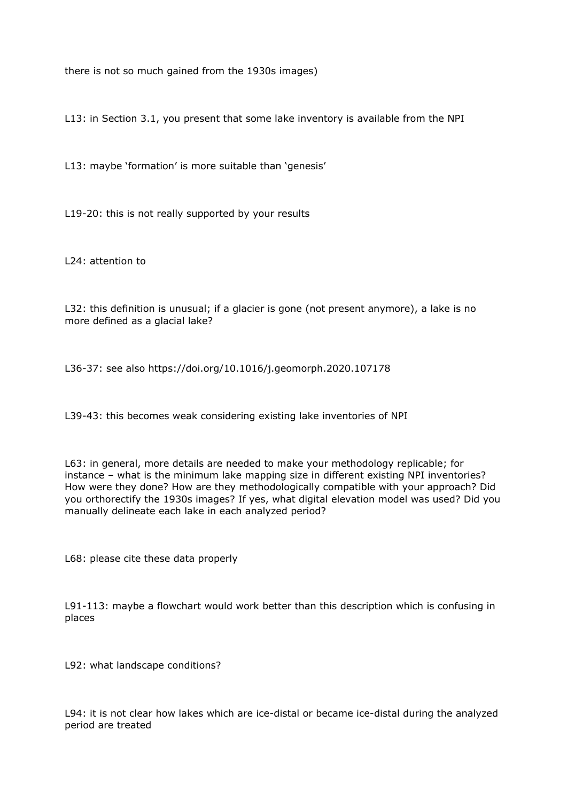there is not so much gained from the 1930s images)

L13: in Section 3.1, you present that some lake inventory is available from the NPI

L13: maybe 'formation' is more suitable than 'genesis'

L19-20: this is not really supported by your results

L24: attention to

L32: this definition is unusual; if a glacier is gone (not present anymore), a lake is no more defined as a glacial lake?

L36-37: see also https://doi.org/10.1016/j.geomorph.2020.107178

L39-43: this becomes weak considering existing lake inventories of NPI

L63: in general, more details are needed to make your methodology replicable; for instance – what is the minimum lake mapping size in different existing NPI inventories? How were they done? How are they methodologically compatible with your approach? Did you orthorectify the 1930s images? If yes, what digital elevation model was used? Did you manually delineate each lake in each analyzed period?

L68: please cite these data properly

L91-113: maybe a flowchart would work better than this description which is confusing in places

L92: what landscape conditions?

L94: it is not clear how lakes which are ice-distal or became ice-distal during the analyzed period are treated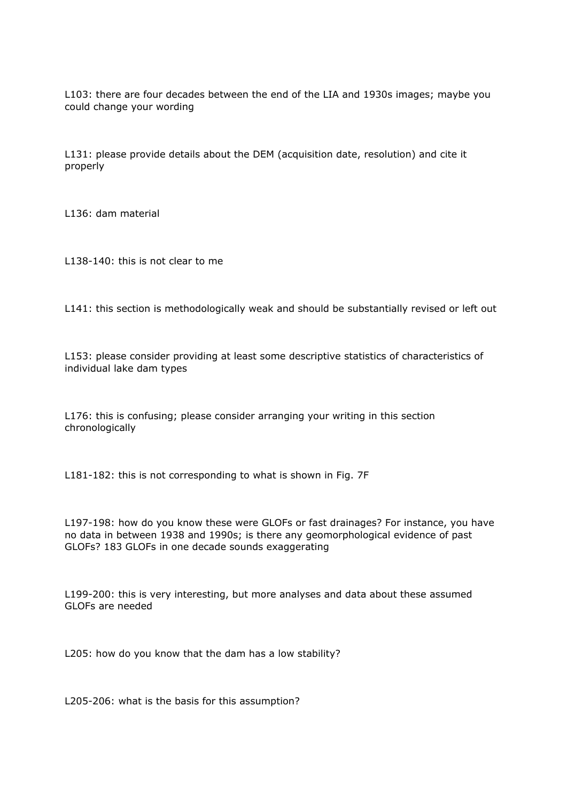L103: there are four decades between the end of the LIA and 1930s images; maybe you could change your wording

L131: please provide details about the DEM (acquisition date, resolution) and cite it properly

L136: dam material

L138-140: this is not clear to me

L141: this section is methodologically weak and should be substantially revised or left out

L153: please consider providing at least some descriptive statistics of characteristics of individual lake dam types

L176: this is confusing; please consider arranging your writing in this section chronologically

L181-182: this is not corresponding to what is shown in Fig. 7F

L197-198: how do you know these were GLOFs or fast drainages? For instance, you have no data in between 1938 and 1990s; is there any geomorphological evidence of past GLOFs? 183 GLOFs in one decade sounds exaggerating

L199-200: this is very interesting, but more analyses and data about these assumed GLOFs are needed

L205: how do you know that the dam has a low stability?

L205-206: what is the basis for this assumption?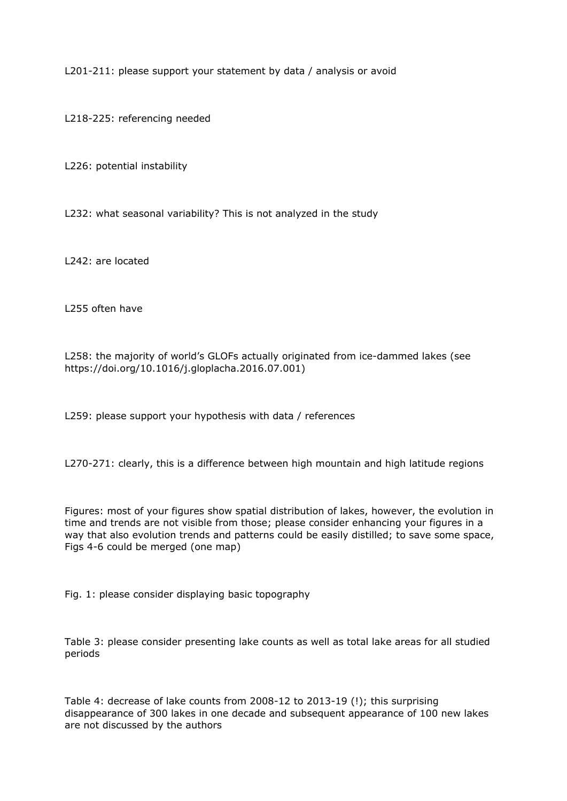L201-211: please support your statement by data / analysis or avoid

L218-225: referencing needed

L226: potential instability

L232: what seasonal variability? This is not analyzed in the study

L242: are located

L255 often have

L258: the majority of world's GLOFs actually originated from ice-dammed lakes (see https://doi.org/10.1016/j.gloplacha.2016.07.001)

L259: please support your hypothesis with data / references

L270-271: clearly, this is a difference between high mountain and high latitude regions

Figures: most of your figures show spatial distribution of lakes, however, the evolution in time and trends are not visible from those; please consider enhancing your figures in a way that also evolution trends and patterns could be easily distilled; to save some space, Figs 4-6 could be merged (one map)

Fig. 1: please consider displaying basic topography

Table 3: please consider presenting lake counts as well as total lake areas for all studied periods

Table 4: decrease of lake counts from 2008-12 to 2013-19 (!); this surprising disappearance of 300 lakes in one decade and subsequent appearance of 100 new lakes are not discussed by the authors